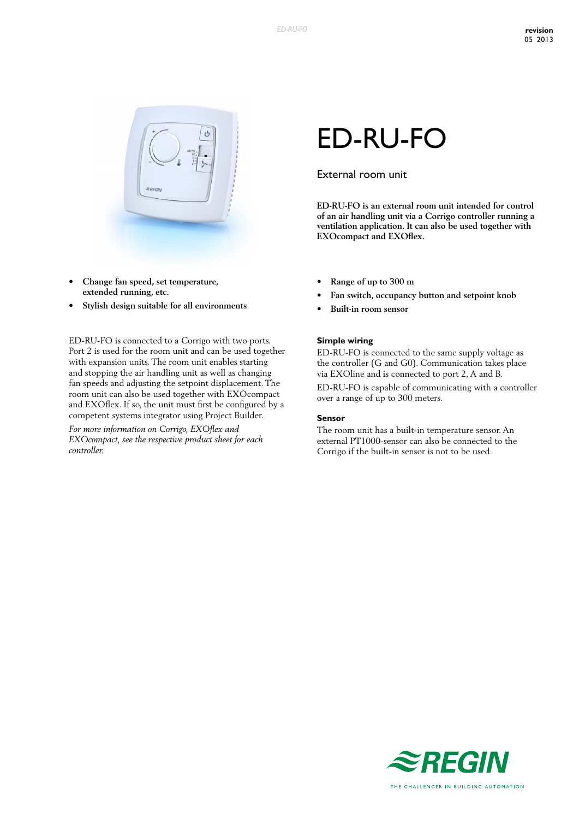

- **• Change fan speed, set temperature, extended running, etc.**
- **• Stylish design suitable for all environments**

ED-RU-FO is connected to a Corrigo with two ports. Port 2 is used for the room unit and can be used together with expansion units. The room unit enables starting and stopping the air handling unit as well as changing fan speeds and adjusting the setpoint displacement. The room unit can also be used together with EXOcompact and EXOflex. If so, the unit must first be configured by a competent systems integrator using Project Builder.

*For more information on Corrigo, EXOflex and EXOcompact, see the respective product sheet for each controller.*

# ED-RU-FO

# External room unit

**ED-RU-FO is an external room unit intended for control of an air handling unit via a Corrigo controller running a ventilation application. It can also be used together with EXOcompact and EXOflex.**

- **• Range of up to 300 m**
- **• Fan switch, occupancy button and setpoint knob**
- **• Built-in room sensor**

#### **Simple wiring**

ED-RU-FO is connected to the same supply voltage as the controller (G and G0). Communication takes place via EXOline and is connected to port 2, A and B. ED-RU-FO is capable of communicating with a controller over a range of up to 300 meters.

#### **Sensor**

The room unit has a built-in temperature sensor. An external PT1000-sensor can also be connected to the Corrigo if the built-in sensor is not to be used.

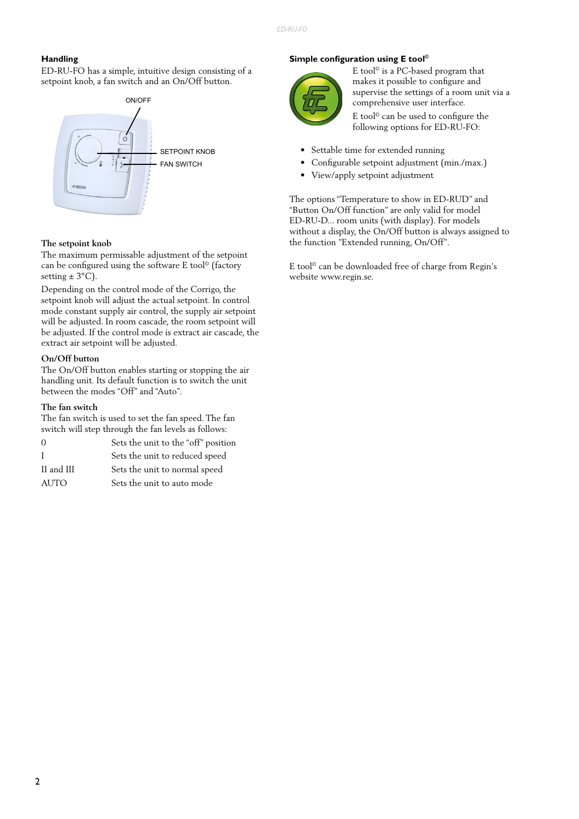## **Handling**

ED-RU-FO has a simple, intuitive design consisting of a setpoint knob, a fan switch and an On/Off button.



### **The setpoint knob**

The maximum permissable adjustment of the setpoint can be configured using the software E tool© (factory setting  $\pm$  3°C).

Depending on the control mode of the Corrigo, the setpoint knob will adjust the actual setpoint. In control mode constant supply air control, the supply air setpoint will be adjusted. In room cascade, the room setpoint will be adjusted. If the control mode is extract air cascade, the extract air setpoint will be adjusted.

## **On/Off button**

The On/Off button enables starting or stopping the air handling unit. Its default function is to switch the unit between the modes "Off" and "Auto".

#### **The fan switch**

The fan switch is used to set the fan speed. The fan switch will step through the fan levels as follows:

| 0           | Sets the unit to the "off" position |
|-------------|-------------------------------------|
| L           | Sets the unit to reduced speed      |
| II and III  | Sets the unit to normal speed       |
| <b>AUTO</b> | Sets the unit to auto mode          |

### **Simple configuration using E tool©**



E tool© is a PC-based program that makes it possible to configure and supervise the settings of a room unit via a comprehensive user interface.

E tool<br>© can be used to configure the following options for ED-RU-FO:

- Settable time for extended running
- Configurable setpoint adjustment (min./max.)
- View/apply setpoint adjustment

The options "Temperature to show in ED-RUD" and "Button On/Off function" are only valid for model ED-RU-D... room units (with display). For models without a display, the On/Off button is always assigned to the function "Extended running, On/Off".

E tool© can be downloaded free of charge from Regin's website www.regin.se.